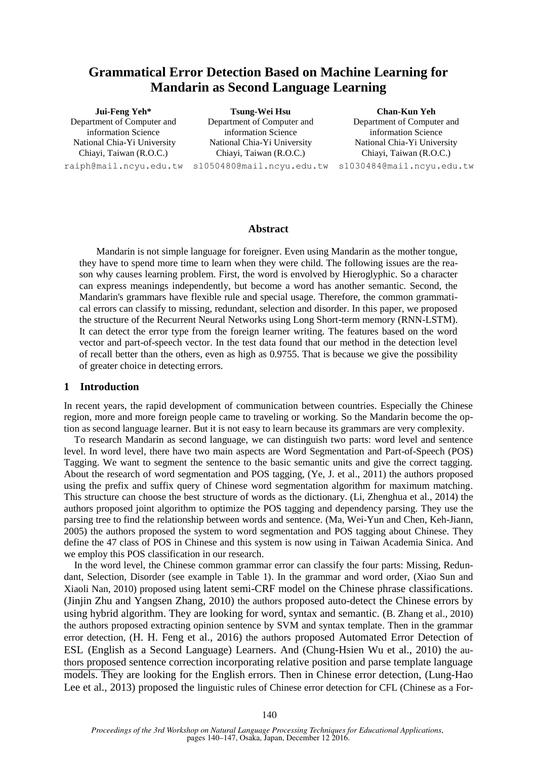# **Grammatical Error Detection Based on Machine Learning for Mandarin as Second Language Learning**

## **Jui-Feng Yeh\*** Department of Computer and information Science National Chia-Yi University Chiayi, Taiwan (R.O.C.)

raiph@mail.ncyu.edu.tw s1050480@mail.ncyu.edu.tw s1030484@mail.ncyu.edu.tw **Tsung-Wei Hsu** Department of Computer and information Science National Chia-Yi University Chiayi, Taiwan (R.O.C.)

**Chan-Kun Yeh**

Department of Computer and information Science National Chia-Yi University Chiayi, Taiwan (R.O.C.)

## **Abstract**

Mandarin is not simple language for foreigner. Even using Mandarin as the mother tongue, they have to spend more time to learn when they were child. The following issues are the reason why causes learning problem. First, the word is envolved by Hieroglyphic. So a character can express meanings independently, but become a word has another semantic. Second, the Mandarin's grammars have flexible rule and special usage. Therefore, the common grammatical errors can classify to missing, redundant, selection and disorder. In this paper, we proposed the structure of the Recurrent Neural Networks using Long Short-term memory (RNN-LSTM). It can detect the error type from the foreign learner writing. The features based on the word vector and part-of-speech vector. In the test data found that our method in the detection level of recall better than the others, even as high as 0.9755. That is because we give the possibility of greater choice in detecting errors.

## **1 Introduction**

In recent years, the rapid development of communication between countries. Especially the Chinese region, more and more foreign people came to traveling or working. So the Mandarin become the option as second language learner. But it is not easy to learn because its grammars are very complexity.

To research Mandarin as second language, we can distinguish two parts: word level and sentence level. In word level, there have two main aspects are Word Segmentation and Part-of-Speech (POS) Tagging. We want to segment the sentence to the basic semantic units and give the correct tagging. About the research of word segmentation and POS tagging, (Ye, J. et al., 2011) the authors proposed using the prefix and suffix query of Chinese word segmentation algorithm for maximum matching. This structure can choose the best structure of words as the dictionary. (Li, Zhenghua et al., 2014) the authors proposed joint algorithm to optimize the POS tagging and dependency parsing. They use the parsing tree to find the relationship between words and sentence. (Ma, Wei-Yun and Chen, Keh-Jiann, 2005) the authors proposed the system to word segmentation and POS tagging about Chinese. They define the 47 class of POS in Chinese and this system is now using in Taiwan Academia Sinica. And we employ this POS classification in our research.

In the word level, the Chinese common grammar error can classify the four parts: Missing, Redundant, Selection, Disorder (see example in Table 1). In the grammar and word order, (Xiao Sun and Xiaoli Nan, 2010) proposed using latent semi-CRF model on the Chinese phrase classifications. (Jinjin Zhu and Yangsen Zhang, 2010) the authors proposed auto-detect the Chinese errors by using hybrid algorithm. They are looking for word, syntax and semantic. (B. Zhang et al., 2010) the authors proposed extracting opinion sentence by SVM and syntax template. Then in the grammar error detection, (H. H. Feng et al., 2016) the authors proposed Automated Error Detection of ESL (English as a Second Language) Learners. And (Chung-Hsien Wu et al., 2010) the authors proposed sentence correction incorporating relative position and parse template language models. They are looking for the English errors. Then in Chinese error detection, (Lung-Hao Lee et al., 2013) proposed the linguistic rules of Chinese error detection for CFL (Chinese as a For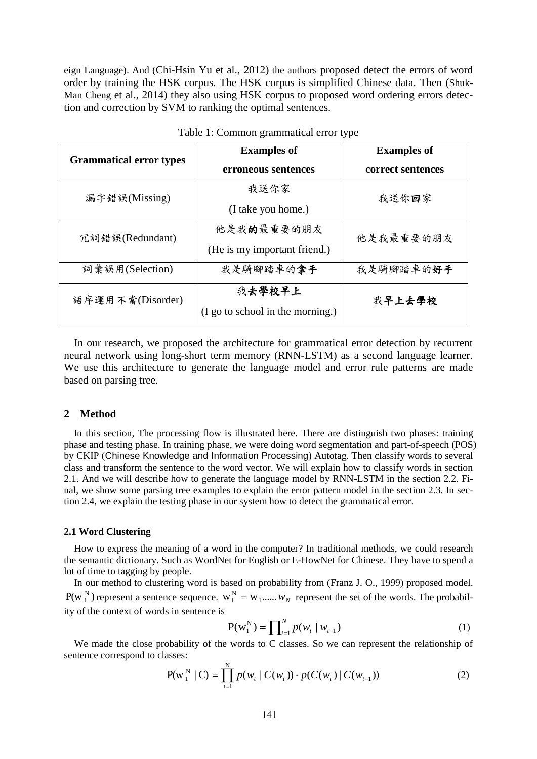eign Language). And (Chi-Hsin Yu et al., 2012) the authors proposed detect the errors of word order by training the HSK corpus. The HSK corpus is simplified Chinese data. Then (Shuk-Man Cheng et al., 2014) they also using HSK corpus to proposed word ordering errors detection and correction by SVM to ranking the optimal sentences.

| <b>Grammatical error types</b> | <b>Examples of</b>               | <b>Examples of</b> |  |
|--------------------------------|----------------------------------|--------------------|--|
|                                | erroneous sentences              | correct sentences  |  |
| 漏字錯誤(Missing)                  | 我送你家                             | 我送你回家              |  |
|                                | (I take you home.)               |                    |  |
| 冗詞錯誤(Redundant)                | 他是我的最重要的朋友                       | 他是我最重要的朋友          |  |
|                                | (He is my important friend.)     |                    |  |
| 詞彙誤用(Selection)                | 我是騎腳踏車的拿手                        | 我是騎腳踏車的好手          |  |
| 語序運用不當(Disorder)               | 我去學校早上                           | 我早上去學校             |  |
|                                | (I go to school in the morning.) |                    |  |

| Table 1: Common grammatical error type |  |  |
|----------------------------------------|--|--|
|----------------------------------------|--|--|

In our research, we proposed the architecture for grammatical error detection by recurrent neural network using long-short term memory (RNN-LSTM) as a second language learner. We use this architecture to generate the language model and error rule patterns are made based on parsing tree.

## **2 Method**

In this section, The processing flow is illustrated here. There are distinguish two phases: training phase and testing phase. In training phase, we were doing word segmentation and part-of-speech (POS) by CKIP (Chinese Knowledge and Information Processing) Autotag. Then classify words to several class and transform the sentence to the word vector. We will explain how to classify words in section 2.1. And we will describe how to generate the language model by RNN-LSTM in the section 2.2. Final, we show some parsing tree examples to explain the error pattern model in the section 2.3. In section 2.4, we explain the testing phase in our system how to detect the grammatical error.

## **2.1 Word Clustering**

How to express the meaning of a word in the computer? In traditional methods, we could research the semantic dictionary. Such as WordNet for English or E-HowNet for Chinese. They have to spend a lot of time to tagging by people.

In our method to clustering word is based on probability from (Franz J. O., 1999) proposed model.  $P(W_1^N)$  $N_1$ ) represent a sentence sequence.  $W_1^N = W_1$ ......  $W_N$  represent the set of the words. The probability of the context of words in sentence is

$$
P(w_1^N) = \prod_{t=1}^N p(w_t | w_{t-1})
$$
 (1)

We made the close probability of the words to C classes. So we can represent the relationship of sentence correspond to classes:

$$
P(w_1^N | C) = \prod_{t=1}^N p(w_t | C(w_t)) \cdot p(C(w_t) | C(w_{t-1}))
$$
\n(2)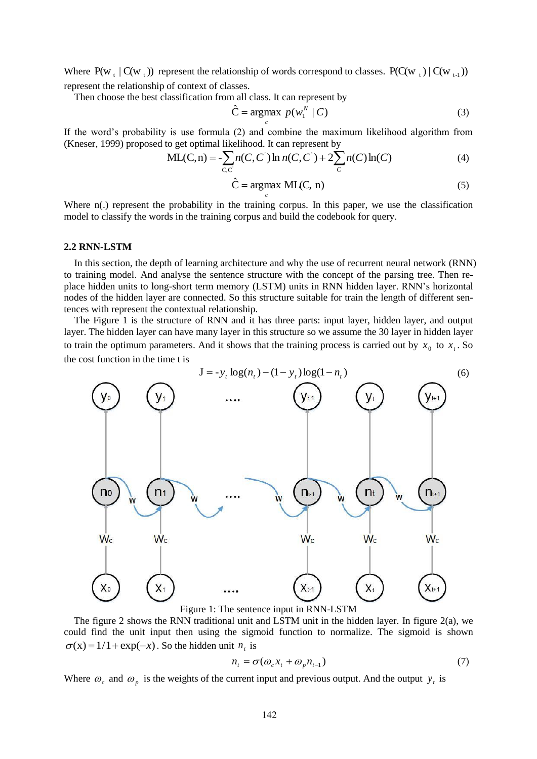Where  $P(w_t | C(w_t))$  represent the relationship of words correspond to classes.  $P(C(w_t) | C(w_{t-1}))$ represent the relationship of context of classes.

Then choose the best classification from all class. It can represent by

$$
\hat{\mathbf{C}} = \underset{c}{\operatorname{argmax}} \ p(w_1^N \mid \mathbf{C}) \tag{3}
$$

If the word's probability is use formula (2) and combine the maximum likelihood algorithm from (Kneser, 1999) proposed to get optimal likelihood. It can represent by

$$
ML(C, n) = -\sum_{C, C'} n(C, C') \ln n(C, C') + 2\sum_{C} n(C) \ln(C)
$$
 (4)

$$
\hat{C} = \underset{c}{\operatorname{argmax}} \ \text{ML}(C, \ n) \tag{5}
$$

Where  $n(.)$  represent the probability in the training corpus. In this paper, we use the classification model to classify the words in the training corpus and build the codebook for query.

#### **2.2 RNN-LSTM**

In this section, the depth of learning architecture and why the use of recurrent neural network (RNN) to training model. And analyse the sentence structure with the concept of the parsing tree. Then replace hidden units to long-short term memory (LSTM) units in RNN hidden layer. RNN's horizontal nodes of the hidden layer are connected. So this structure suitable for train the length of different sentences with represent the contextual relationship.

The Figure 1 is the structure of RNN and it has three parts: input layer, hidden layer, and output layer. The hidden layer can have many layer in this structure so we assume the 30 layer in hidden layer to train the optimum parameters. And it shows that the training process is carried out by  $x_0$  to  $x_t$ . So the cost function in the time t is



Figure 1: The sentence input in RNN-LSTM

The figure 2 shows the RNN traditional unit and LSTM unit in the hidden layer. In figure 2(a), we could find the unit input then using the sigmoid function to normalize. The sigmoid is shown  $\sigma(x) = 1/1 + \exp(-x)$ . So the hidden unit  $n_t$  is

$$
n_{t} = \sigma(\omega_{c} x_{t} + \omega_{p} n_{t-1})
$$
\n(7)

Where  $\omega_c$  and  $\omega_p$  is the weights of the current input and previous output. And the output  $y_t$  is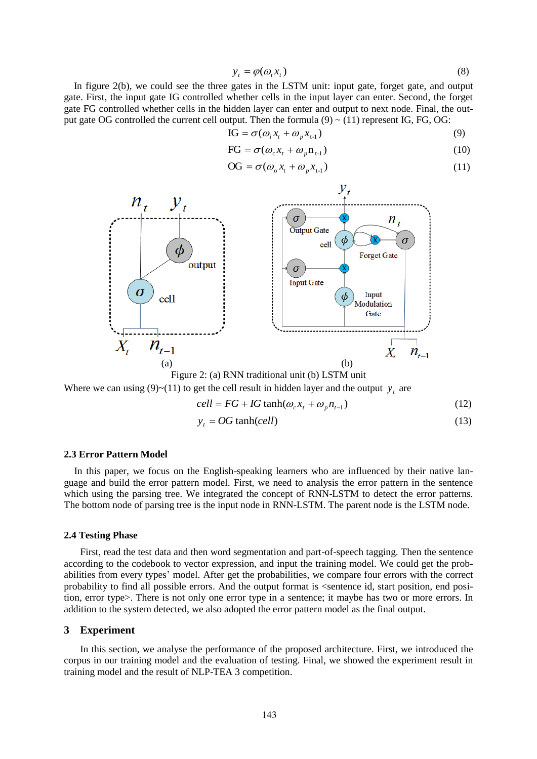$$
y_t = \varphi(\omega_t x_t) \tag{8}
$$

In figure 2(b), we could see the three gates in the LSTM unit: input gate, forget gate, and output gate. First, the input gate IG controlled whether cells in the input layer can enter. Second, the forget gate FG controlled whether cells in the hidden layer can enter and output to next node. Final, the output gate OG controlled the current cell output. Then the formula  $(9) \sim (11)$  represent IG, FG, OG:

$$
IG = \sigma(\omega_i x_t + \omega_p x_{t-1})
$$
\n(9)

$$
FG = \sigma(\omega_c x_t + \omega_p n_{t-1})
$$
\n(10)

$$
\text{OG} = \sigma(\omega_{\text{o}} x_t + \omega_{\text{p}} x_{t-1}) \tag{11}
$$



Figure 2: (a) RNN traditional unit (b) LSTM unit

Where we can using  $(9)$  ~ $(11)$  to get the cell result in hidden layer and the output  $y_t$  are

$$
cell = FG + IG \tanh(\omega_c x_t + \omega_p n_{t-1})
$$
\n(12)

$$
y_t = OG \tanh(cell) \tag{13}
$$

#### **2.3 Error Pattern Model**

In this paper, we focus on the English-speaking learners who are influenced by their native language and build the error pattern model. First, we need to analysis the error pattern in the sentence which using the parsing tree. We integrated the concept of RNN-LSTM to detect the error patterns. The bottom node of parsing tree is the input node in RNN-LSTM. The parent node is the LSTM node.

#### **2.4 Testing Phase**

First, read the test data and then word segmentation and part-of-speech tagging. Then the sentence according to the codebook to vector expression, and input the training model. We could get the probabilities from every types' model. After get the probabilities, we compare four errors with the correct probability to find all possible errors. And the output format is <sentence id, start position, end position, error type>. There is not only one error type in a sentence; it maybe has two or more errors. In addition to the system detected, we also adopted the error pattern model as the final output.

## **3 Experiment**

In this section, we analyse the performance of the proposed architecture. First, we introduced the corpus in our training model and the evaluation of testing. Final, we showed the experiment result in training model and the result of NLP-TEA 3 competition.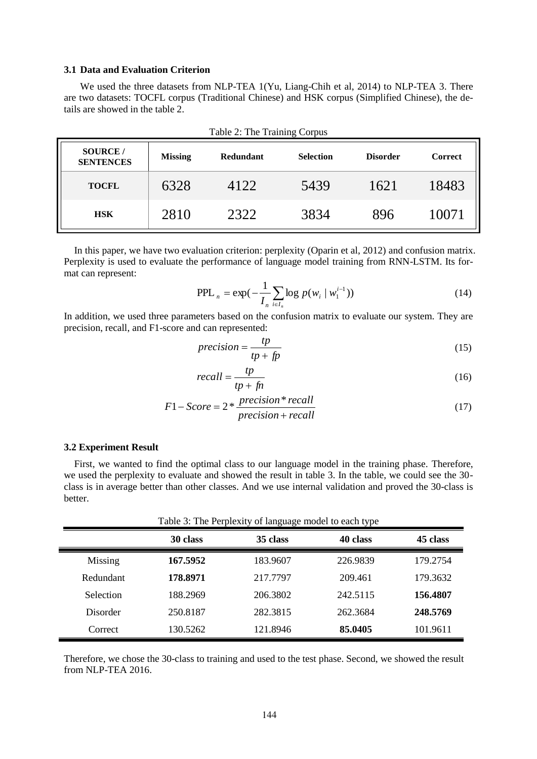## **3.1 Data and Evaluation Criterion**

We used the three datasets from NLP-TEA 1(Yu, Liang-Chih et al, 2014) to NLP-TEA 3. There are two datasets: TOCFL corpus (Traditional Chinese) and HSK corpus (Simplified Chinese), the details are showed in the table 2.

| <b>SOURCE</b> /<br><b>SENTENCES</b> | <b>Missing</b> | <b>Redundant</b> | <b>Selection</b> | <b>Disorder</b> | <b>Correct</b> |
|-------------------------------------|----------------|------------------|------------------|-----------------|----------------|
| <b>TOCFL</b>                        | 6328           | 4122             | 5439             | 1621            | 18483          |
| <b>HSK</b>                          | 2810           | 2322             | 3834             | 896             | 10071          |

Table 2: The Training Corpus

In this paper, we have two evaluation criterion: perplexity (Oparin et al, 2012) and confusion matrix. Perplexity is used to evaluate the performance of language model training from RNN-LSTM. Its format can represent:

$$
PPL_n = \exp(-\frac{1}{I_n} \sum_{i \in I_n} \log p(w_i \mid w_1^{i-1}))
$$
\n(14)

In addition, we used three parameters based on the confusion matrix to evaluate our system. They are precision, recall, and F1-score and can represented:

$$
precision = \frac{tp}{tp + fp}
$$
 (15)

$$
recall = \frac{tp}{tp + fn} \tag{16}
$$

$$
F1 - Score = 2 * \frac{precision * recall}{precision + recall}
$$
\n(17)

#### **3.2 Experiment Result**

First, we wanted to find the optimal class to our language model in the training phase. Therefore, we used the perplexity to evaluate and showed the result in table 3. In the table, we could see the 30 class is in average better than other classes. And we use internal validation and proved the 30-class is better.

Table 3: The Perplexity of language model to each type

|           | 30 class | 35 class | 40 class | 45 class |
|-----------|----------|----------|----------|----------|
| Missing   | 167.5952 | 183.9607 | 226.9839 | 179.2754 |
| Redundant | 178.8971 | 217.7797 | 209.461  | 179.3632 |
| Selection | 188.2969 | 206.3802 | 242.5115 | 156.4807 |
| Disorder  | 250.8187 | 282.3815 | 262.3684 | 248.5769 |
| Correct   | 130.5262 | 121.8946 | 85.0405  | 101.9611 |

Therefore, we chose the 30-class to training and used to the test phase. Second, we showed the result from NLP-TEA 2016.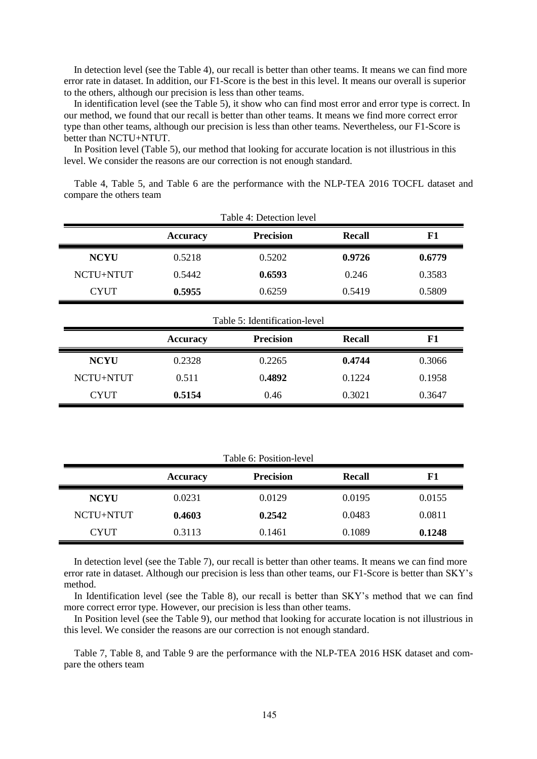In detection level (see the Table 4), our recall is better than other teams. It means we can find more error rate in dataset. In addition, our F1-Score is the best in this level. It means our overall is superior to the others, although our precision is less than other teams.

In identification level (see the Table 5), it show who can find most error and error type is correct. In our method, we found that our recall is better than other teams. It means we find more correct error type than other teams, although our precision is less than other teams. Nevertheless, our F1-Score is better than NCTU+NTUT.

In Position level (Table 5), our method that looking for accurate location is not illustrious in this level. We consider the reasons are our correction is not enough standard.

Table 4, Table 5, and Table 6 are the performance with the NLP-TEA 2016 TOCFL dataset and compare the others team

|             |                 | Table 4: Detection level      |               |        |
|-------------|-----------------|-------------------------------|---------------|--------|
|             | <b>Accuracy</b> | <b>Precision</b>              | <b>Recall</b> | F1     |
| <b>NCYU</b> | 0.5218          | 0.5202                        | 0.9726        | 0.6779 |
| NCTU+NTUT   | 0.5442          | 0.6593                        | 0.246         | 0.3583 |
| <b>CYUT</b> | 0.5955          | 0.6259                        | 0.5419        | 0.5809 |
|             |                 | Table 5: Identification-level |               |        |
|             | Accuracy        | <b>Precision</b>              | <b>Recall</b> | F1     |
| <b>NCYU</b> | 0.2328          | 0.2265                        | 0.4744        | 0.3066 |
| NCTU+NTUT   | 0.511           | 0.4892                        | 0.1224        | 0.1958 |
| <b>CYUT</b> | 0.5154          | 0.46                          | 0.3021        | 0.3647 |

| Table 6: Position-level |                 |                  |        |        |
|-------------------------|-----------------|------------------|--------|--------|
|                         | <b>Accuracy</b> | <b>Precision</b> | Recall | F1     |
| <b>NCYU</b>             | 0.0231          | 0.0129           | 0.0195 | 0.0155 |
| NCTU+NTUT               | 0.4603          | 0.2542           | 0.0483 | 0.0811 |
| <b>CYUT</b>             | 0.3113          | 0.1461           | 0.1089 | 0.1248 |

In detection level (see the Table 7), our recall is better than other teams. It means we can find more error rate in dataset. Although our precision is less than other teams, our F1-Score is better than SKY's method.

In Identification level (see the Table 8), our recall is better than SKY's method that we can find more correct error type. However, our precision is less than other teams.

In Position level (see the Table 9), our method that looking for accurate location is not illustrious in this level. We consider the reasons are our correction is not enough standard.

Table 7, Table 8, and Table 9 are the performance with the NLP-TEA 2016 HSK dataset and compare the others team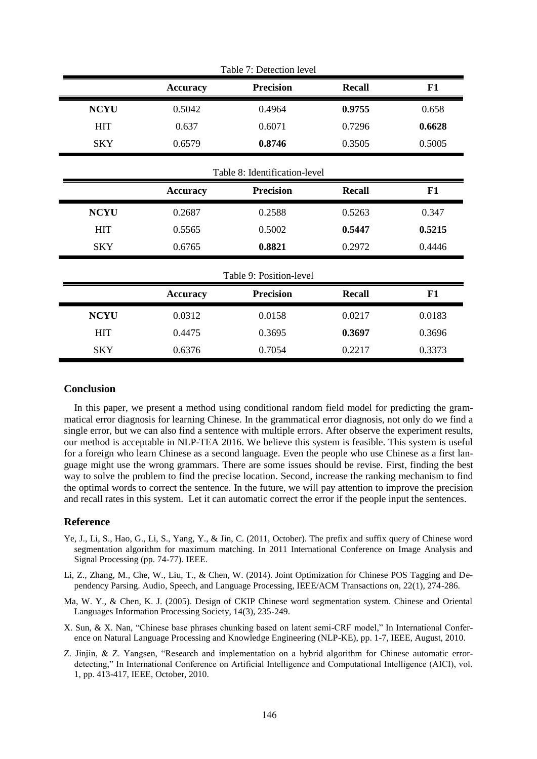|             |                 | Table 7: Detection level      |               |        |
|-------------|-----------------|-------------------------------|---------------|--------|
|             | <b>Accuracy</b> | <b>Precision</b>              | <b>Recall</b> | F1     |
| <b>NCYU</b> | 0.5042          | 0.4964                        | 0.9755        | 0.658  |
| <b>HIT</b>  | 0.637           | 0.6071                        | 0.7296        | 0.6628 |
| <b>SKY</b>  | 0.6579          | 0.8746                        | 0.3505        | 0.5005 |
|             |                 | Table 8: Identification-level |               |        |
|             | <b>Accuracy</b> | <b>Precision</b>              | <b>Recall</b> | F1     |
| <b>NCYU</b> | 0.2687          | 0.2588                        | 0.5263        | 0.347  |
| <b>HIT</b>  | 0.5565          | 0.5002                        | 0.5447        | 0.5215 |
| <b>SKY</b>  | 0.6765          | 0.8821                        | 0.2972        | 0.4446 |
|             |                 | Table 9: Position-level       |               |        |
|             | <b>Accuracy</b> | <b>Precision</b>              | <b>Recall</b> | F1     |
| <b>NCYU</b> | 0.0312          | 0.0158                        | 0.0217        | 0.0183 |
| <b>HIT</b>  | 0.4475          | 0.3695                        | 0.3697        | 0.3696 |
| <b>SKY</b>  | 0.6376          | 0.7054                        | 0.2217        | 0.3373 |

## **Conclusion**

In this paper, we present a method using conditional random field model for predicting the grammatical error diagnosis for learning Chinese. In the grammatical error diagnosis, not only do we find a single error, but we can also find a sentence with multiple errors. After observe the experiment results, our method is acceptable in NLP-TEA 2016. We believe this system is feasible. This system is useful for a foreign who learn Chinese as a second language. Even the people who use Chinese as a first language might use the wrong grammars. There are some issues should be revise. First, finding the best way to solve the problem to find the precise location. Second, increase the ranking mechanism to find the optimal words to correct the sentence. In the future, we will pay attention to improve the precision and recall rates in this system. Let it can automatic correct the error if the people input the sentences.

## **Reference**

- Ye, J., Li, S., Hao, G., Li, S., Yang, Y., & Jin, C. (2011, October). The prefix and suffix query of Chinese word segmentation algorithm for maximum matching. In 2011 International Conference on Image Analysis and Signal Processing (pp. 74-77). IEEE.
- Li, Z., Zhang, M., Che, W., Liu, T., & Chen, W. (2014). Joint Optimization for Chinese POS Tagging and Dependency Parsing. Audio, Speech, and Language Processing, IEEE/ACM Transactions on, 22(1), 274-286.
- Ma, W. Y., & Chen, K. J. (2005). Design of CKIP Chinese word segmentation system. Chinese and Oriental Languages Information Processing Society, 14(3), 235-249.
- X. Sun, & X. Nan, "Chinese base phrases chunking based on latent semi-CRF model," In International Conference on Natural Language Processing and Knowledge Engineering (NLP-KE), pp. 1-7, IEEE, August, 2010.
- Z. Jinjin, & Z. Yangsen, "Research and implementation on a hybrid algorithm for Chinese automatic errordetecting," In International Conference on Artificial Intelligence and Computational Intelligence (AICI), vol. 1, pp. 413-417, IEEE, October, 2010.